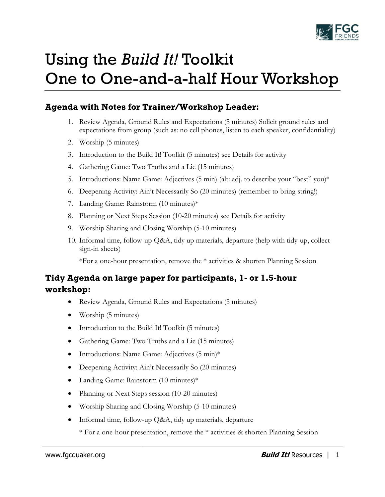

# Using the *Build It!* Toolkit One to One-and-a-half Hour Workshop

## **Agenda with Notes for Trainer/Workshop Leader:**

- 1. Review Agenda, Ground Rules and Expectations (5 minutes) Solicit ground rules and expectations from group (such as: no cell phones, listen to each speaker, confidentiality)
- 2. Worship (5 minutes)
- 3. Introduction to the Build It! Toolkit (5 minutes) see Details for activity
- 4. Gathering Game: Two Truths and a Lie (15 minutes)
- 5. Introductions: Name Game: Adjectives (5 min) (alt: adj. to describe your "best" you)\*
- 6. Deepening Activity: Ain't Necessarily So (20 minutes) (remember to bring string!)
- 7. Landing Game: Rainstorm (10 minutes)\*
- 8. Planning or Next Steps Session (10-20 minutes) see Details for activity
- 9. Worship Sharing and Closing Worship (5-10 minutes)
- 10. Informal time, follow-up Q&A, tidy up materials, departure (help with tidy-up, collect sign-in sheets)

\*For a one-hour presentation, remove the \* activities & shorten Planning Session

## **Tidy Agenda on large paper for participants, 1- or 1.5-hour workshop:**

- Review Agenda, Ground Rules and Expectations (5 minutes)
- Worship (5 minutes)
- Introduction to the Build It! Toolkit (5 minutes)
- Gathering Game: Two Truths and a Lie (15 minutes)
- Introductions: Name Game: Adjectives (5 min)\*
- Deepening Activity: Ain't Necessarily So (20 minutes)
- Landing Game: Rainstorm (10 minutes)\*
- Planning or Next Steps session (10-20 minutes)
- Worship Sharing and Closing Worship (5-10 minutes)
- Informal time, follow-up Q&A, tidy up materials, departure

\* For a one-hour presentation, remove the \* activities & shorten Planning Session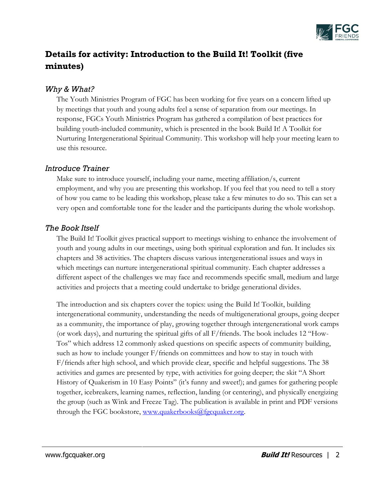

# **Details for activity: Introduction to the Build It! Toolkit (five minutes)**

#### *Why & What?*

The Youth Ministries Program of FGC has been working for five years on a concern lifted up by meetings that youth and young adults feel a sense of separation from our meetings. In response, FGCs Youth Ministries Program has gathered a compilation of best practices for building youth-included community, which is presented in the book Build It! A Toolkit for Nurturing Intergenerational Spiritual Community. This workshop will help your meeting learn to use this resource.

#### *Introduce Trainer*

Make sure to introduce yourself, including your name, meeting affiliation/s, current employment, and why you are presenting this workshop. If you feel that you need to tell a story of how you came to be leading this workshop, please take a few minutes to do so. This can set a very open and comfortable tone for the leader and the participants during the whole workshop.

#### *The Book Itself*

The Build It! Toolkit gives practical support to meetings wishing to enhance the involvement of youth and young adults in our meetings, using both spiritual exploration and fun. It includes six chapters and 38 activities. The chapters discuss various intergenerational issues and ways in which meetings can nurture intergenerational spiritual community. Each chapter addresses a different aspect of the challenges we may face and recommends specific small, medium and large activities and projects that a meeting could undertake to bridge generational divides.

The introduction and six chapters cover the topics: using the Build It! Toolkit, building intergenerational community, understanding the needs of multigenerational groups, going deeper as a community, the importance of play, growing together through intergenerational work camps (or work days), and nurturing the spiritual gifts of all F/friends. The book includes 12 "How-Tos" which address 12 commonly asked questions on specific aspects of community building, such as how to include younger F/friends on committees and how to stay in touch with F/friends after high school, and which provide clear, specific and helpful suggestions. The 38 activities and games are presented by type, with activities for going deeper; the skit "A Short History of Quakerism in 10 Easy Points" (it's funny and sweet!); and games for gathering people together, icebreakers, learning names, reflection, landing (or centering), and physically energizing the group (such as Wink and Freeze Tag). The publication is available in print and PDF versions through the FGC bookstore, [www.quakerbooks@fgcquaker.org.](http://www.quakerbooks@fgcquaker.org/)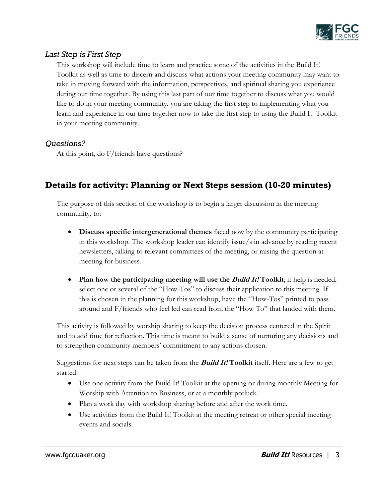

### *Last Step is First Step*

This workshop will include time to learn and practice some of the activities in the Build It! Toolkit as well as time to discern and discuss what actions your meeting community may want to take in moving forward with the information, perspectives, and spiritual sharing you experience during our time together. By using this last part of our time together to discuss what you would like to do in your meeting community, you are taking the first step to implementing what you learn and experience in our time together now to take the first step to using the Build It! Toolkit in your meeting community.

#### *Questions?*

At this point, do F/friends have questions?

# **Details for activity: Planning or Next Steps session (10-20 minutes)**

The purpose of this section of the workshop is to begin a larger discussion in the meeting community, to:

- **Discuss specific intergenerational themes** faced now by the community participating in this workshop. The workshop leader can identify issue/s in advance by reading recent newsletters, talking to relevant committees of the meeting, or raising the question at meeting for business.
- Plan how the participating meeting will use the *Build It!* Toolkit; if help is needed, select one or several of the "How-Tos" to discuss their application to this meeting. If this is chosen in the planning for this workshop, have the "How-Tos" printed to pass around and F/friends who feel led can read from the "How To" that landed with them.

This activity is followed by worship sharing to keep the decision process centered in the Spirit and to add time for reflection. This time is meant to build a sense of nurturing any decisions and to strengthen community members' commitment to any actions chosen.

Suggestions for next steps can be taken from the **Build It! Toolkit** itself. Here are a few to get started:

- Use one activity from the Build It! Toolkit at the opening or during monthly Meeting for Worship with Attention to Business, or at a monthly potluck.
- Plan a work day with workshop sharing before and after the work time.
- Use activities from the Build It! Toolkit at the meeting retreat or other special meeting events and socials.